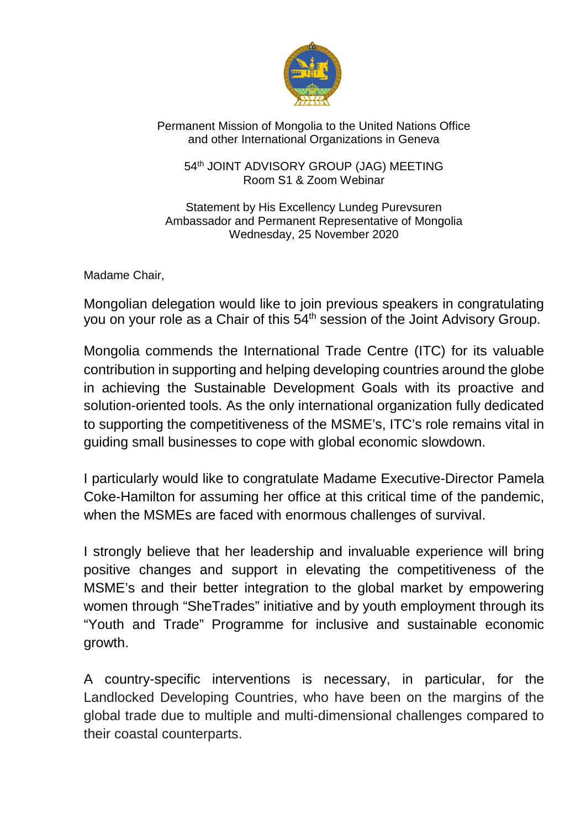

## Permanent Mission of Mongolia to the United Nations Office and other International Organizations in Geneva

54<sup>th</sup> JOINT ADVISORY GROUP (JAG) MEETING Room S1 & Zoom Webinar

Statement by His Excellency Lundeg Purevsuren Ambassador and Permanent Representative of Mongolia Wednesday, 25 November 2020

Madame Chair,

Mongolian delegation would like to join previous speakers in congratulating you on your role as a Chair of this 54<sup>th</sup> session of the Joint Advisory Group.

Mongolia commends the International Trade Centre (ITC) for its valuable contribution in supporting and helping developing countries around the globe in achieving the Sustainable Development Goals with its proactive and solution-oriented tools. As the only international organization fully dedicated to supporting the competitiveness of the MSME's, ITC's role remains vital in guiding small businesses to cope with global economic slowdown.

I particularly would like to congratulate Madame Executive-Director Pamela Coke-Hamilton for assuming her office at this critical time of the pandemic, when the MSMEs are faced with enormous challenges of survival.

I strongly believe that her leadership and invaluable experience will bring positive changes and support in elevating the competitiveness of the MSME's and their better integration to the global market by empowering women through "SheTrades" initiative and by youth employment through its "Youth and Trade" Programme for inclusive and sustainable economic growth.

A country-specific interventions is necessary, in particular, for the Landlocked Developing Countries, who have been on the margins of the global trade due to multiple and multi-dimensional challenges compared to their coastal counterparts.